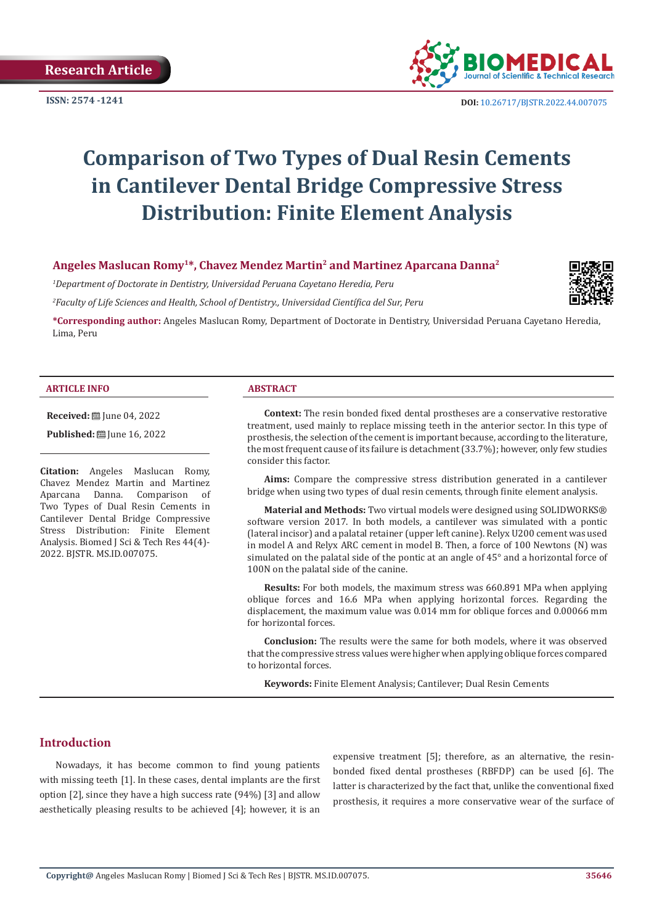

**ISSN:** 2574 -1241 **DOI:** [10.26717/BJSTR.2022.44.007075](https://dx.doi.org/10.26717/BJSTR.2022.44.007075)

# **Comparison of Two Types of Dual Resin Cements in Cantilever Dental Bridge Compressive Stress Distribution: Finite Element Analysis**

# **Angeles Maslucan Romy1\*, Chavez Mendez Martin2 and Martinez Aparcana Danna2**

*1 Department of Doctorate in Dentistry, Universidad Peruana Cayetano Heredia, Peru*

*2 Faculty of Life Sciences and Health, School of Dentistry., Universidad Científica del Sur, Peru*

**\*Corresponding author:** Angeles Maslucan Romy, Department of Doctorate in Dentistry, Universidad Peruana Cayetano Heredia, Lima, Peru

#### **ARTICLE INFO ABSTRACT**

**Received:** ■ June 04, 2022

**Published:** [Une 16, 2022]

**Citation:** Angeles Maslucan Romy, Chavez Mendez Martin and Martinez<br>Aparcana Danna. Comparison of Aparcana Danna. Comparison Two Types of Dual Resin Cements in Cantilever Dental Bridge Compressive Stress Distribution: Finite Element Analysis. Biomed J Sci & Tech Res 44(4)- 2022. BJSTR. MS.ID.007075.

**Context:** The resin bonded fixed dental prostheses are a conservative restorative treatment, used mainly to replace missing teeth in the anterior sector. In this type of prosthesis, the selection of the cement is important because, according to the literature, the most frequent cause of its failure is detachment (33.7%); however, only few studies consider this factor.

**Aims:** Compare the compressive stress distribution generated in a cantilever bridge when using two types of dual resin cements, through finite element analysis.

**Material and Methods:** Two virtual models were designed using SOLIDWORKS® software version 2017. In both models, a cantilever was simulated with a pontic (lateral incisor) and a palatal retainer (upper left canine). Relyx U200 cement was used in model A and Relyx ARC cement in model B. Then, a force of 100 Newtons (N) was simulated on the palatal side of the pontic at an angle of 45° and a horizontal force of 100N on the palatal side of the canine.

**Results:** For both models, the maximum stress was 660.891 MPa when applying oblique forces and 16.6 MPa when applying horizontal forces. Regarding the displacement, the maximum value was 0.014 mm for oblique forces and 0.00066 mm for horizontal forces.

**Conclusion:** The results were the same for both models, where it was observed that the compressive stress values were higher when applying oblique forces compared to horizontal forces.

**Keywords:** Finite Element Analysis; Cantilever; Dual Resin Cements

# **Introduction**

Nowadays, it has become common to find young patients with missing teeth [1]. In these cases, dental implants are the first option [2], since they have a high success rate (94%) [3] and allow aesthetically pleasing results to be achieved [4]; however, it is an

expensive treatment [5]; therefore, as an alternative, the resinbonded fixed dental prostheses (RBFDP) can be used [6]. The latter is characterized by the fact that, unlike the conventional fixed prosthesis, it requires a more conservative wear of the surface of

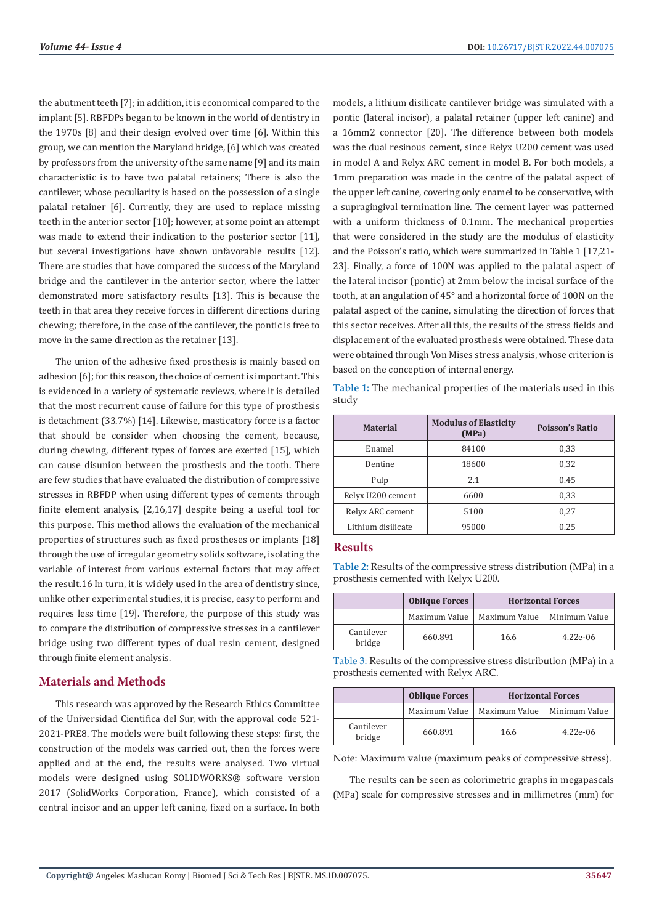the abutment teeth [7]; in addition, it is economical compared to the implant [5]. RBFDPs began to be known in the world of dentistry in the 1970s [8] and their design evolved over time [6]. Within this group, we can mention the Maryland bridge, [6] which was created by professors from the university of the same name [9] and its main characteristic is to have two palatal retainers; There is also the cantilever, whose peculiarity is based on the possession of a single palatal retainer [6]. Currently, they are used to replace missing teeth in the anterior sector [10]; however, at some point an attempt was made to extend their indication to the posterior sector [11], but several investigations have shown unfavorable results [12]. There are studies that have compared the success of the Maryland bridge and the cantilever in the anterior sector, where the latter demonstrated more satisfactory results [13]. This is because the teeth in that area they receive forces in different directions during chewing; therefore, in the case of the cantilever, the pontic is free to move in the same direction as the retainer [13].

The union of the adhesive fixed prosthesis is mainly based on adhesion [6]; for this reason, the choice of cement is important. This is evidenced in a variety of systematic reviews, where it is detailed that the most recurrent cause of failure for this type of prosthesis is detachment (33.7%) [14]. Likewise, masticatory force is a factor that should be consider when choosing the cement, because, during chewing, different types of forces are exerted [15], which can cause disunion between the prosthesis and the tooth. There are few studies that have evaluated the distribution of compressive stresses in RBFDP when using different types of cements through finite element analysis, [2,16,17] despite being a useful tool for this purpose. This method allows the evaluation of the mechanical properties of structures such as fixed prostheses or implants [18] through the use of irregular geometry solids software, isolating the variable of interest from various external factors that may affect the result.16 In turn, it is widely used in the area of dentistry since, unlike other experimental studies, it is precise, easy to perform and requires less time [19]. Therefore, the purpose of this study was to compare the distribution of compressive stresses in a cantilever bridge using two different types of dual resin cement, designed through finite element analysis.

# **Materials and Methods**

This research was approved by the Research Ethics Committee of the Universidad Cientifica del Sur, with the approval code 521- 2021-PRE8. The models were built following these steps: first, the construction of the models was carried out, then the forces were applied and at the end, the results were analysed. Two virtual models were designed using SOLIDWORKS® software version 2017 (SolidWorks Corporation, France), which consisted of a central incisor and an upper left canine, fixed on a surface. In both

models, a lithium disilicate cantilever bridge was simulated with a pontic (lateral incisor), a palatal retainer (upper left canine) and a 16mm2 connector [20]. The difference between both models was the dual resinous cement, since Relyx U200 cement was used in model A and Relyx ARC cement in model B. For both models, a 1mm preparation was made in the centre of the palatal aspect of the upper left canine, covering only enamel to be conservative, with a supragingival termination line. The cement layer was patterned with a uniform thickness of 0.1mm. The mechanical properties that were considered in the study are the modulus of elasticity and the Poisson's ratio, which were summarized in Table 1 [17,21- 23]. Finally, a force of 100N was applied to the palatal aspect of the lateral incisor (pontic) at 2mm below the incisal surface of the tooth, at an angulation of 45° and a horizontal force of 100N on the palatal aspect of the canine, simulating the direction of forces that this sector receives. After all this, the results of the stress fields and displacement of the evaluated prosthesis were obtained. These data were obtained through Von Mises stress analysis, whose criterion is based on the conception of internal energy.

|       | Table 1: The mechanical properties of the materials used in this |  |  |  |  |
|-------|------------------------------------------------------------------|--|--|--|--|
| study |                                                                  |  |  |  |  |

| <b>Material</b>    | <b>Modulus of Elasticity</b><br>(MPa) | <b>Poisson's Ratio</b> |  |
|--------------------|---------------------------------------|------------------------|--|
| Enamel             | 84100                                 | 0,33                   |  |
| Dentine            | 18600                                 | 0,32                   |  |
| Pulp               | 2.1                                   | 0.45                   |  |
| Relyx U200 cement  | 6600                                  | 0,33                   |  |
| Relyx ARC cement   | 5100                                  | 0,27                   |  |
| Lithium disilicate | 95000                                 | 0.25                   |  |

### **Results**

**Table 2:** Results of the compressive stress distribution (MPa) in a prosthesis cemented with Relyx U200.

|                      | <b>Oblique Forces</b> | <b>Horizontal Forces</b> |               |  |  |
|----------------------|-----------------------|--------------------------|---------------|--|--|
|                      | Maximum Value         | Maximum Value            | Minimum Value |  |  |
| Cantilever<br>bridge | 660.891               | 16.6                     | $4.22e-06$    |  |  |

Table 3: Results of the compressive stress distribution (MPa) in a prosthesis cemented with Relyx ARC.

|                      | <b>Oblique Forces</b> | <b>Horizontal Forces</b> |               |  |  |
|----------------------|-----------------------|--------------------------|---------------|--|--|
|                      | Maximum Value         | Maximum Value            | Minimum Value |  |  |
| Cantilever<br>bridge | 660.891               | 16.6                     | $4.22e-06$    |  |  |

Note: Maximum value (maximum peaks of compressive stress).

The results can be seen as colorimetric graphs in megapascals (MPa) scale for compressive stresses and in millimetres (mm) for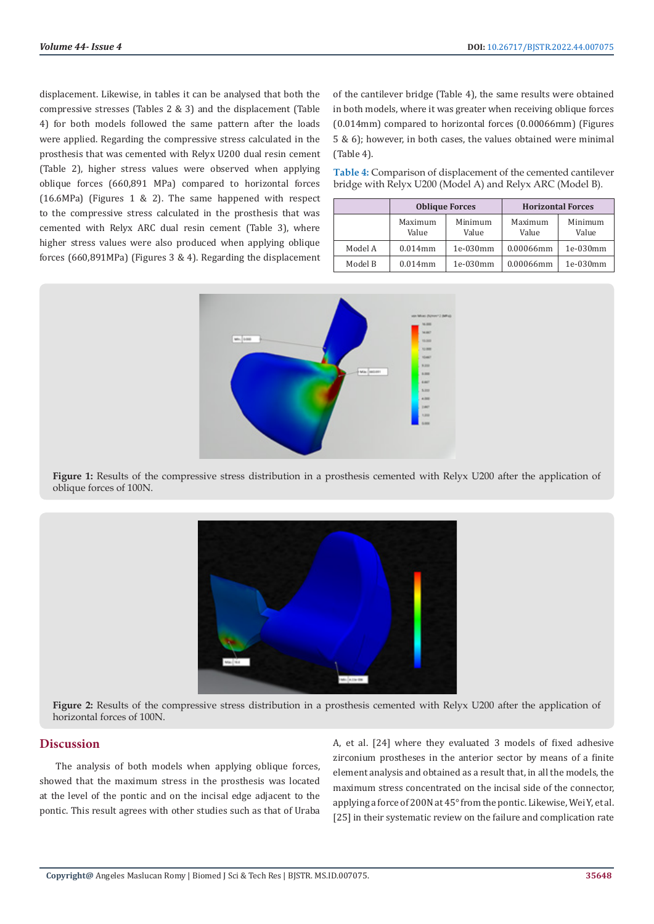displacement. Likewise, in tables it can be analysed that both the compressive stresses (Tables 2 & 3) and the displacement (Table 4) for both models followed the same pattern after the loads were applied. Regarding the compressive stress calculated in the prosthesis that was cemented with Relyx U200 dual resin cement (Table 2), higher stress values were observed when applying oblique forces (660,891 MPa) compared to horizontal forces (16.6MPa) (Figures 1 & 2). The same happened with respect to the compressive stress calculated in the prosthesis that was cemented with Relyx ARC dual resin cement (Table 3), where higher stress values were also produced when applying oblique forces (660,891MPa) (Figures 3 & 4). Regarding the displacement

of the cantilever bridge (Table 4), the same results were obtained in both models, where it was greater when receiving oblique forces (0.014mm) compared to horizontal forces (0.00066mm) (Figures 5 & 6); however, in both cases, the values obtained were minimal (Table 4).

**Table 4:** Comparison of displacement of the cemented cantilever bridge with Relyx U200 (Model A) and Relyx ARC (Model B).

|         |                  | <b>Oblique Forces</b> | <b>Horizontal Forces</b> |                  |  |
|---------|------------------|-----------------------|--------------------------|------------------|--|
|         | Maximum<br>Value | Minimum<br>Value      | Maximum<br>Value         | Minimum<br>Value |  |
| Model A | $0.014$ mm       | 1e-030mm              | 0.00066mm                | 1e-030mm         |  |
| Model B | $0.014$ mm       | 1e-030mm              | 0.00066mm                | 1e-030mm         |  |



**Figure 1:** Results of the compressive stress distribution in a prosthesis cemented with Relyx U200 after the application of oblique forces of 100N.



**Figure 2:** Results of the compressive stress distribution in a prosthesis cemented with Relyx U200 after the application of horizontal forces of 100N.

#### **Discussion**

The analysis of both models when applying oblique forces, showed that the maximum stress in the prosthesis was located at the level of the pontic and on the incisal edge adjacent to the pontic. This result agrees with other studies such as that of Uraba A, et al. [24] where they evaluated 3 models of fixed adhesive zirconium prostheses in the anterior sector by means of a finite element analysis and obtained as a result that, in all the models, the maximum stress concentrated on the incisal side of the connector, applying a force of 200N at 45° from the pontic. Likewise, Wei Y, et al. [25] in their systematic review on the failure and complication rate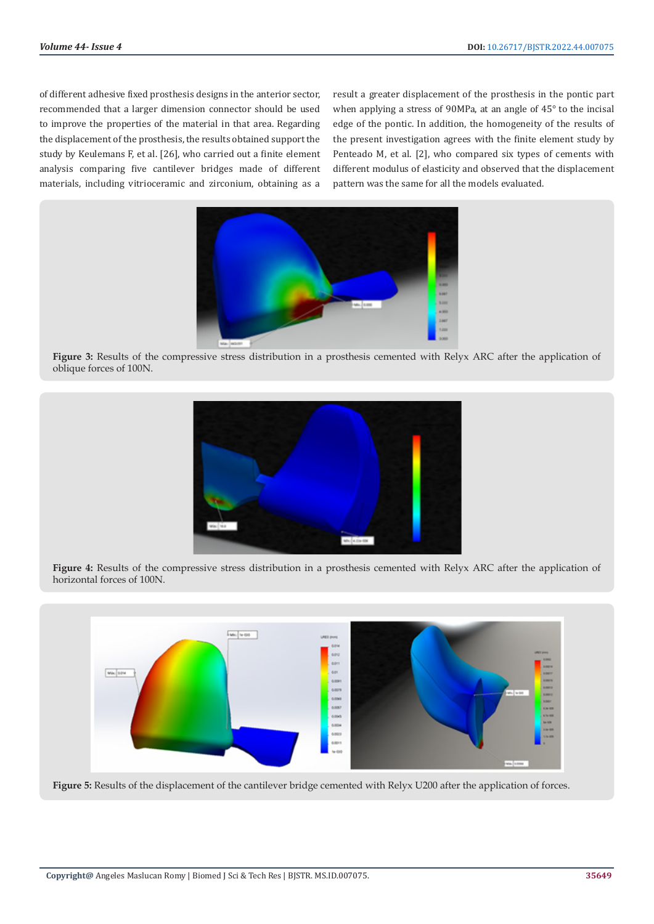of different adhesive fixed prosthesis designs in the anterior sector, recommended that a larger dimension connector should be used to improve the properties of the material in that area. Regarding the displacement of the prosthesis, the results obtained support the study by Keulemans F, et al. [26], who carried out a finite element analysis comparing five cantilever bridges made of different materials, including vitrioceramic and zirconium, obtaining as a result a greater displacement of the prosthesis in the pontic part when applying a stress of 90MPa, at an angle of 45° to the incisal edge of the pontic. In addition, the homogeneity of the results of the present investigation agrees with the finite element study by Penteado M, et al. [2], who compared six types of cements with different modulus of elasticity and observed that the displacement pattern was the same for all the models evaluated.



**Figure 3:** Results of the compressive stress distribution in a prosthesis cemented with Relyx ARC after the application of oblique forces of 100N.



**Figure 4:** Results of the compressive stress distribution in a prosthesis cemented with Relyx ARC after the application of horizontal forces of 100N.



Figure 5: Results of the displacement of the cantilever bridge cemented with Relyx U200 after the application of forces.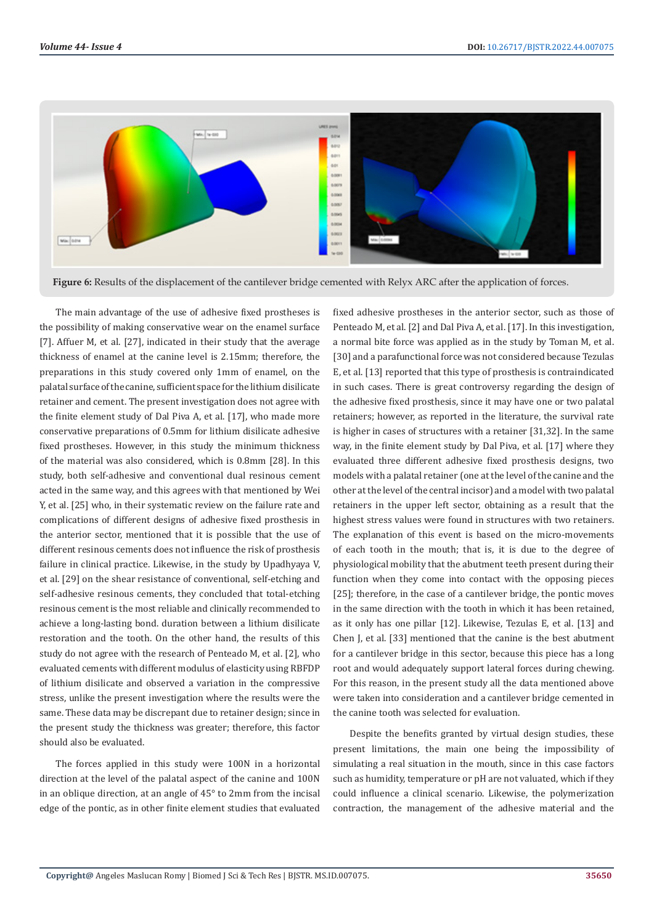

**Figure 6:** Results of the displacement of the cantilever bridge cemented with Relyx ARC after the application of forces.

The main advantage of the use of adhesive fixed prostheses is the possibility of making conservative wear on the enamel surface [7]. Affuer M, et al. [27], indicated in their study that the average thickness of enamel at the canine level is 2.15mm; therefore, the preparations in this study covered only 1mm of enamel, on the palatal surface of the canine, sufficient space for the lithium disilicate retainer and cement. The present investigation does not agree with the finite element study of Dal Piva A, et al. [17], who made more conservative preparations of 0.5mm for lithium disilicate adhesive fixed prostheses. However, in this study the minimum thickness of the material was also considered, which is 0.8mm [28]. In this study, both self-adhesive and conventional dual resinous cement acted in the same way, and this agrees with that mentioned by Wei Y, et al. [25] who, in their systematic review on the failure rate and complications of different designs of adhesive fixed prosthesis in the anterior sector, mentioned that it is possible that the use of different resinous cements does not influence the risk of prosthesis failure in clinical practice. Likewise, in the study by Upadhyaya V, et al. [29] on the shear resistance of conventional, self-etching and self-adhesive resinous cements, they concluded that total-etching resinous cement is the most reliable and clinically recommended to achieve a long-lasting bond. duration between a lithium disilicate restoration and the tooth. On the other hand, the results of this study do not agree with the research of Penteado M, et al. [2], who evaluated cements with different modulus of elasticity using RBFDP of lithium disilicate and observed a variation in the compressive stress, unlike the present investigation where the results were the same. These data may be discrepant due to retainer design; since in the present study the thickness was greater; therefore, this factor should also be evaluated.

The forces applied in this study were 100N in a horizontal direction at the level of the palatal aspect of the canine and 100N in an oblique direction, at an angle of 45° to 2mm from the incisal edge of the pontic, as in other finite element studies that evaluated

fixed adhesive prostheses in the anterior sector, such as those of Penteado M, et al. [2] and Dal Piva A, et al. [17]. In this investigation, a normal bite force was applied as in the study by Toman M, et al. [30] and a parafunctional force was not considered because Tezulas E, et al. [13] reported that this type of prosthesis is contraindicated in such cases. There is great controversy regarding the design of the adhesive fixed prosthesis, since it may have one or two palatal retainers; however, as reported in the literature, the survival rate is higher in cases of structures with a retainer [31,32]. In the same way, in the finite element study by Dal Piva, et al. [17] where they evaluated three different adhesive fixed prosthesis designs, two models with a palatal retainer (one at the level of the canine and the other at the level of the central incisor) and a model with two palatal retainers in the upper left sector, obtaining as a result that the highest stress values were found in structures with two retainers. The explanation of this event is based on the micro-movements of each tooth in the mouth; that is, it is due to the degree of physiological mobility that the abutment teeth present during their function when they come into contact with the opposing pieces [25]; therefore, in the case of a cantilever bridge, the pontic moves in the same direction with the tooth in which it has been retained, as it only has one pillar [12]. Likewise, Tezulas E, et al. [13] and Chen J, et al. [33] mentioned that the canine is the best abutment for a cantilever bridge in this sector, because this piece has a long root and would adequately support lateral forces during chewing. For this reason, in the present study all the data mentioned above were taken into consideration and a cantilever bridge cemented in the canine tooth was selected for evaluation.

Despite the benefits granted by virtual design studies, these present limitations, the main one being the impossibility of simulating a real situation in the mouth, since in this case factors such as humidity, temperature or pH are not valuated, which if they could influence a clinical scenario. Likewise, the polymerization contraction, the management of the adhesive material and the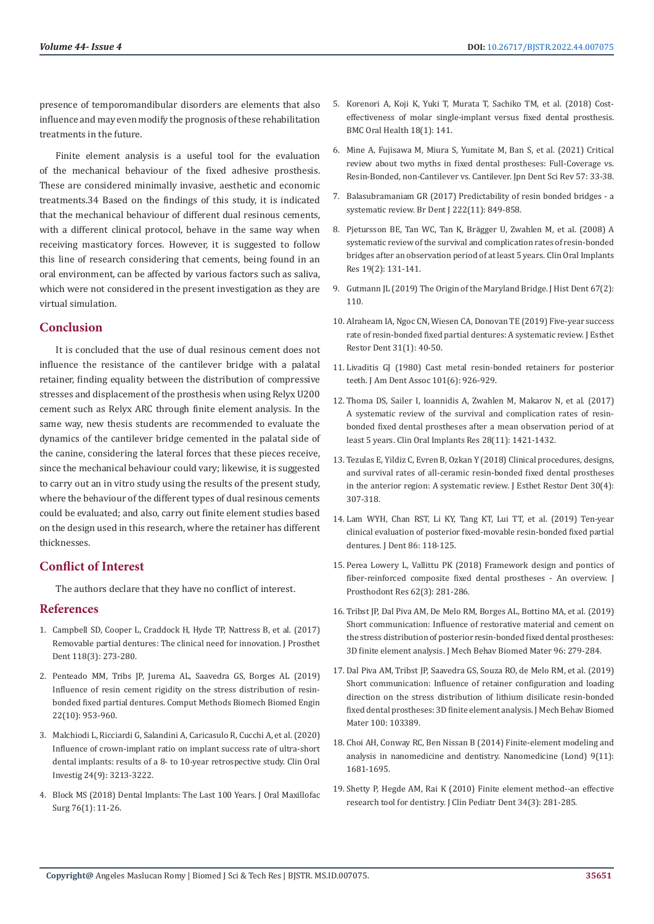presence of temporomandibular disorders are elements that also influence and may even modify the prognosis of these rehabilitation treatments in the future.

Finite element analysis is a useful tool for the evaluation of the mechanical behaviour of the fixed adhesive prosthesis. These are considered minimally invasive, aesthetic and economic treatments.34 Based on the findings of this study, it is indicated that the mechanical behaviour of different dual resinous cements, with a different clinical protocol, behave in the same way when receiving masticatory forces. However, it is suggested to follow this line of research considering that cements, being found in an oral environment, can be affected by various factors such as saliva, which were not considered in the present investigation as they are virtual simulation.

# **Conclusion**

It is concluded that the use of dual resinous cement does not influence the resistance of the cantilever bridge with a palatal retainer, finding equality between the distribution of compressive stresses and displacement of the prosthesis when using Relyx U200 cement such as Relyx ARC through finite element analysis. In the same way, new thesis students are recommended to evaluate the dynamics of the cantilever bridge cemented in the palatal side of the canine, considering the lateral forces that these pieces receive, since the mechanical behaviour could vary; likewise, it is suggested to carry out an in vitro study using the results of the present study, where the behaviour of the different types of dual resinous cements could be evaluated; and also, carry out finite element studies based on the design used in this research, where the retainer has different thicknesses.

# **Conflict of Interest**

The authors declare that they have no conflict of interest.

# **References**

- 1. [Campbell SD, Cooper L, Craddock H, Hyde TP, Nattress B, et al. \(2017\)](https://pubmed.ncbi.nlm.nih.gov/28343666/)  [Removable partial dentures: The clinical need for innovation. J Prosthet](https://pubmed.ncbi.nlm.nih.gov/28343666/)  [Dent 118\(3\): 273-280.](https://pubmed.ncbi.nlm.nih.gov/28343666/)
- 2. [Penteado MM, Tribs JP, Jurema AL, Saavedra GS, Borges AL \(2019\)](https://pubmed.ncbi.nlm.nih.gov/31045456/)  [Influence of resin cement rigidity on the stress distribution of resin](https://pubmed.ncbi.nlm.nih.gov/31045456/)[bonded fixed partial dentures. Comput Methods Biomech Biomed Engin](https://pubmed.ncbi.nlm.nih.gov/31045456/)  [22\(10\): 953-960.](https://pubmed.ncbi.nlm.nih.gov/31045456/)
- 3. [Malchiodi L, Ricciardi G, Salandini A, Caricasulo R, Cucchi A, et al. \(2020\)](https://pubmed.ncbi.nlm.nih.gov/32681422/)  [Influence of crown-implant ratio on implant success rate of ultra-short](https://pubmed.ncbi.nlm.nih.gov/32681422/)  [dental implants: results of a 8- to 10-year retrospective study. Clin Oral](https://pubmed.ncbi.nlm.nih.gov/32681422/)  [Investig 24\(9\): 3213-3222.](https://pubmed.ncbi.nlm.nih.gov/32681422/)
- 4. [Block MS \(2018\) Dental Implants: The Last 100 Years. J Oral Maxillofac](https://pubmed.ncbi.nlm.nih.gov/29079267/)  [Surg 76\(1\): 11-26.](https://pubmed.ncbi.nlm.nih.gov/29079267/)
- 5. [Korenori A, Koji K, Yuki T, Murata T, Sachiko TM, et al. \(2018\) Cost](https://pubmed.ncbi.nlm.nih.gov/30126400/)[effectiveness of molar single-implant versus fixed dental prosthesis.](https://pubmed.ncbi.nlm.nih.gov/30126400/) [BMC Oral Health 18\(1\): 141.](https://pubmed.ncbi.nlm.nih.gov/30126400/)
- 6. [Mine A, Fujisawa M, Miura S, Yumitate M, Ban S, et al. \(2021\) Critical](https://www.ncbi.nlm.nih.gov/pmc/articles/PMC7946345/) [review about two myths in fixed dental prostheses: Full-Coverage vs.](https://www.ncbi.nlm.nih.gov/pmc/articles/PMC7946345/) [Resin-Bonded, non-Cantilever vs. Cantilever. Jpn Dent Sci Rev 57: 33-38.](https://www.ncbi.nlm.nih.gov/pmc/articles/PMC7946345/)
- 7. [Balasubramaniam GR \(2017\) Predictability of resin bonded bridges a](https://pubmed.ncbi.nlm.nih.gov/28703151/) [systematic review. Br Dent J 222\(11\): 849-858.](https://pubmed.ncbi.nlm.nih.gov/28703151/)
- 8. Pjetursson BE, Tan WC, Tan K, Brä[gger U, Zwahlen M, et al. \(2008\) A](https://pubmed.ncbi.nlm.nih.gov/18070120/) [systematic review of the survival and complication rates of resin-bonded](https://pubmed.ncbi.nlm.nih.gov/18070120/) [bridges after an observation period of at least 5 years. Clin Oral Implants](https://pubmed.ncbi.nlm.nih.gov/18070120/) [Res 19\(2\): 131-141.](https://pubmed.ncbi.nlm.nih.gov/18070120/)
- 9. [Gutmann JL \(2019\) The Origin of the Maryland Bridge. J Hist Dent 67\(2\):](https://pubmed.ncbi.nlm.nih.gov/32189627/) [110.](https://pubmed.ncbi.nlm.nih.gov/32189627/)
- 10. [Alraheam IA, Ngoc CN, Wiesen CA, Donovan TE \(2019\) Five-year success](https://pubmed.ncbi.nlm.nih.gov/30302909/) [rate of resin-bonded fixed partial dentures: A systematic review. J Esthet](https://pubmed.ncbi.nlm.nih.gov/30302909/) [Restor Dent 31\(1\): 40-50.](https://pubmed.ncbi.nlm.nih.gov/30302909/)
- 11. [Livaditis GJ \(1980\) Cast metal resin-bonded retainers for posterior](https://pubmed.ncbi.nlm.nih.gov/7005289/) [teeth. J Am Dent Assoc 101\(6\): 926-929.](https://pubmed.ncbi.nlm.nih.gov/7005289/)
- 12. [Thoma DS, Sailer I, Ioannidis A, Zwahlen M, Makarov N, et al. \(2017\)](https://pubmed.ncbi.nlm.nih.gov/28191679/) [A systematic review of the survival and complication rates of resin](https://pubmed.ncbi.nlm.nih.gov/28191679/)[bonded fixed dental prostheses after a mean observation period of at](https://pubmed.ncbi.nlm.nih.gov/28191679/) [least 5 years. Clin Oral Implants Res 28\(11\): 1421-1432.](https://pubmed.ncbi.nlm.nih.gov/28191679/)
- 13. [Tezulas E, Yildiz C, Evren B, Ozkan Y \(2018\) Clinical procedures, designs,](https://pubmed.ncbi.nlm.nih.gov/30113136/) [and survival rates of all-ceramic resin-bonded fixed dental prostheses](https://pubmed.ncbi.nlm.nih.gov/30113136/) [in the anterior region: A systematic review. J Esthet Restor Dent 30\(4\):](https://pubmed.ncbi.nlm.nih.gov/30113136/) [307-318.](https://pubmed.ncbi.nlm.nih.gov/30113136/)
- 14. [Lam WYH, Chan RST, Li KY, Tang KT, Lui TT, et al. \(2019\) Ten-year](https://pubmed.ncbi.nlm.nih.gov/31181243/) [clinical evaluation of posterior fixed-movable resin-bonded fixed partial](https://pubmed.ncbi.nlm.nih.gov/31181243/) [dentures. J Dent 86: 118-125.](https://pubmed.ncbi.nlm.nih.gov/31181243/)
- 15. [Perea Lowery L, Vallittu PK \(2018\) Framework design and pontics of](https://pubmed.ncbi.nlm.nih.gov/29759826/) [fiber-reinforced composite fixed dental prostheses - An overview. J](https://pubmed.ncbi.nlm.nih.gov/29759826/) [Prosthodont Res 62\(3\): 281-286.](https://pubmed.ncbi.nlm.nih.gov/29759826/)
- 16. [Tribst JP, Dal Piva AM, De Melo RM, Borges AL, Bottino MA, et al. \(2019\)](https://pubmed.ncbi.nlm.nih.gov/31077955/) [Short communication: Influence of restorative material and cement on](https://pubmed.ncbi.nlm.nih.gov/31077955/) [the stress distribution of posterior resin-bonded fixed dental prostheses:](https://pubmed.ncbi.nlm.nih.gov/31077955/) [3D finite element analysis. J Mech Behav Biomed Mater 96: 279-284.](https://pubmed.ncbi.nlm.nih.gov/31077955/)
- 17. [Dal Piva AM, Tribst JP, Saavedra GS, Souza RO, de Melo RM, et al.](https://pubmed.ncbi.nlm.nih.gov/31398693/) (2019) [Short communication: Influence of retainer configuration and loading](https://pubmed.ncbi.nlm.nih.gov/31398693/) [direction on the stress distribution of lithium disilicate resin-bonded](https://pubmed.ncbi.nlm.nih.gov/31398693/) [fixed dental prostheses: 3D finite element analysis. J Mech Behav Biomed](https://pubmed.ncbi.nlm.nih.gov/31398693/) [Mater 100: 103389.](https://pubmed.ncbi.nlm.nih.gov/31398693/)
- 18. [Choi AH, Conway RC, Ben Nissan B \(2014\) Finite-element modeling and](https://pubmed.ncbi.nlm.nih.gov/25321169/) [analysis in nanomedicine and dentistry. Nanomedicine \(Lond\) 9\(11\):](https://pubmed.ncbi.nlm.nih.gov/25321169/) [1681-1695.](https://pubmed.ncbi.nlm.nih.gov/25321169/)
- 19. [Shetty P, Hegde AM, Rai K \(2010\) Finite element method--an effective](https://pubmed.ncbi.nlm.nih.gov/20578669/) [research tool for dentistry. J Clin Pediatr Dent 34\(3\): 281-285.](https://pubmed.ncbi.nlm.nih.gov/20578669/)